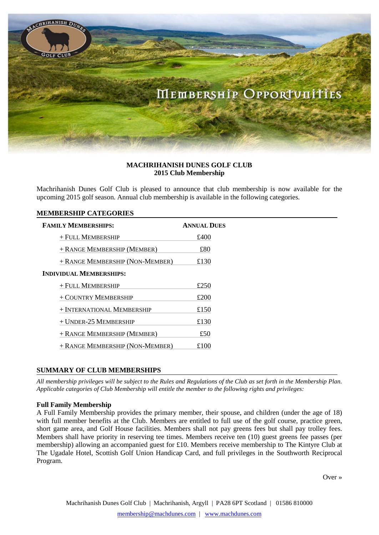

# **MACHRIHANISH DUNES GOLF CLUB 2015 Club Membership**

Machrihanish Dunes Golf Club is pleased to announce that club membership is now available for the upcoming 2015 golf season. Annual club membership is available in the following categories.

## **MEMBERSHIP CATEGORIES**

| <b>ANNUAL DUES</b> |
|--------------------|
| £400               |
| £80                |
| £130               |
|                    |
| £250               |
| £200               |
| £150               |
| £130               |
| £50                |
| £100               |
|                    |

# **SUMMARY OF CLUB MEMBERSHIPS**

*All membership privileges will be subject to the Rules and Regulations of the Club as set forth in the Membership Plan. Applicable categories of Club Membership will entitle the member to the following rights and privileges:*

## **Full Family Membership**

A Full Family Membership provides the primary member, their spouse, and children (under the age of 18) with full member benefits at the Club. Members are entitled to full use of the golf course, practice green, short game area, and Golf House facilities. Members shall not pay greens fees but shall pay trolley fees. Members shall have priority in reserving tee times. Members receive ten (10) guest greens fee passes (per membership) allowing an accompanied guest for £10. Members receive membership to The Kintyre Club at The Ugadale Hotel, Scottish Golf Union Handicap Card, and full privileges in the Southworth Reciprocal Program.

Over »